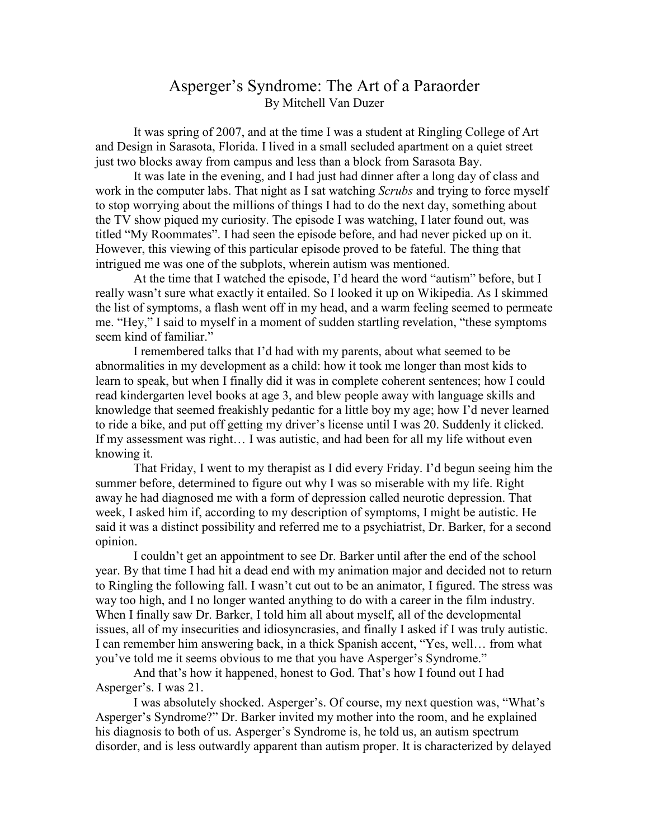## Asperger's Syndrome: The Art of a Paraorder By Mitchell Van Duzer

It was spring of 2007, and at the time I was a student at Ringling College of Art and Design in Sarasota, Florida. I lived in a small secluded apartment on a quiet street just two blocks away from campus and less than a block from Sarasota Bay.

It was late in the evening, and I had just had dinner after a long day of class and work in the computer labs. That night as I sat watching *Scrubs* and trying to force myself to stop worrying about the millions of things I had to do the next day, something about the TV show piqued my curiosity. The episode I was watching, I later found out, was titled "My Roommates". I had seen the episode before, and had never picked up on it. However, this viewing of this particular episode proved to be fateful. The thing that intrigued me was one of the subplots, wherein autism was mentioned.

At the time that I watched the episode, I'd heard the word "autism" before, but I really wasn't sure what exactly it entailed. So I looked it up on Wikipedia. As I skimmed the list of symptoms, a flash went off in my head, and a warm feeling seemed to permeate me. "Hey," I said to myself in a moment of sudden startling revelation, "these symptoms seem kind of familiar."

I remembered talks that I'd had with my parents, about what seemed to be abnormalities in my development as a child: how it took me longer than most kids to learn to speak, but when I finally did it was in complete coherent sentences; how I could read kindergarten level books at age 3, and blew people away with language skills and knowledge that seemed freakishly pedantic for a little boy my age; how I'd never learned to ride a bike, and put off getting my driver's license until I was 20. Suddenly it clicked. If my assessment was right… I was autistic, and had been for all my life without even knowing it.

That Friday, I went to my therapist as I did every Friday. I'd begun seeing him the summer before, determined to figure out why I was so miserable with my life. Right away he had diagnosed me with a form of depression called neurotic depression. That week, I asked him if, according to my description of symptoms, I might be autistic. He said it was a distinct possibility and referred me to a psychiatrist, Dr. Barker, for a second opinion.

I couldn't get an appointment to see Dr. Barker until after the end of the school year. By that time I had hit a dead end with my animation major and decided not to return to Ringling the following fall. I wasn't cut out to be an animator, I figured. The stress was way too high, and I no longer wanted anything to do with a career in the film industry. When I finally saw Dr. Barker, I told him all about myself, all of the developmental issues, all of my insecurities and idiosyncrasies, and finally I asked if I was truly autistic. I can remember him answering back, in a thick Spanish accent, "Yes, well… from what you've told me it seems obvious to me that you have Asperger's Syndrome."

And that's how it happened, honest to God. That's how I found out I had Asperger's. I was 21.

I was absolutely shocked. Asperger's. Of course, my next question was, "What's Asperger's Syndrome?" Dr. Barker invited my mother into the room, and he explained his diagnosis to both of us. Asperger's Syndrome is, he told us, an autism spectrum disorder, and is less outwardly apparent than autism proper. It is characterized by delayed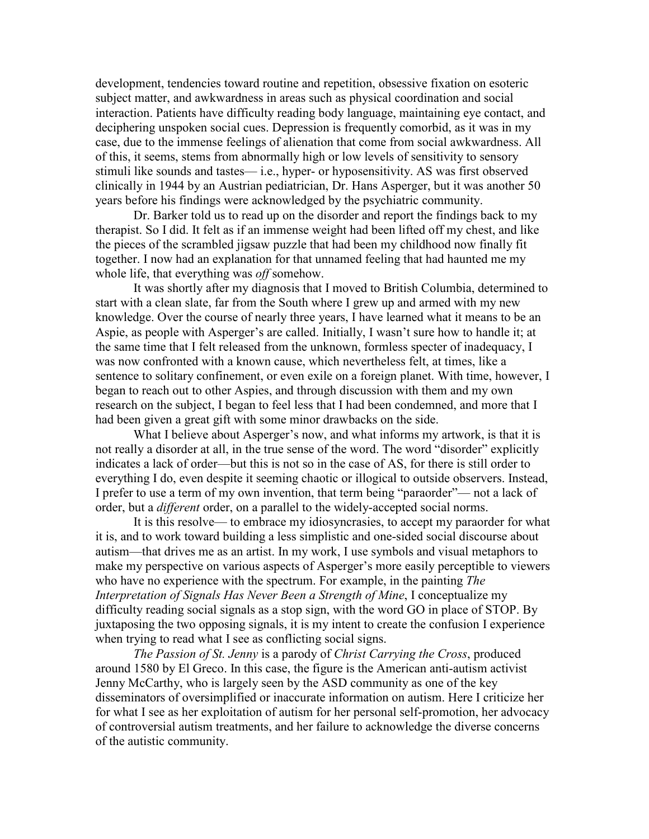development, tendencies toward routine and repetition, obsessive fixation on esoteric subject matter, and awkwardness in areas such as physical coordination and social interaction. Patients have difficulty reading body language, maintaining eye contact, and deciphering unspoken social cues. Depression is frequently comorbid, as it was in my case, due to the immense feelings of alienation that come from social awkwardness. All of this, it seems, stems from abnormally high or low levels of sensitivity to sensory stimuli like sounds and tastes— i.e., hyper- or hyposensitivity. AS was first observed clinically in 1944 by an Austrian pediatrician, Dr. Hans Asperger, but it was another 50 years before his findings were acknowledged by the psychiatric community.

Dr. Barker told us to read up on the disorder and report the findings back to my therapist. So I did. It felt as if an immense weight had been lifted off my chest, and like the pieces of the scrambled jigsaw puzzle that had been my childhood now finally fit together. I now had an explanation for that unnamed feeling that had haunted me my whole life, that everything was *off* somehow.

It was shortly after my diagnosis that I moved to British Columbia, determined to start with a clean slate, far from the South where I grew up and armed with my new knowledge. Over the course of nearly three years, I have learned what it means to be an Aspie, as people with Asperger's are called. Initially, I wasn't sure how to handle it; at the same time that I felt released from the unknown, formless specter of inadequacy, I was now confronted with a known cause, which nevertheless felt, at times, like a sentence to solitary confinement, or even exile on a foreign planet. With time, however, I began to reach out to other Aspies, and through discussion with them and my own research on the subject, I began to feel less that I had been condemned, and more that I had been given a great gift with some minor drawbacks on the side.

What I believe about Asperger's now, and what informs my artwork, is that it is not really a disorder at all, in the true sense of the word. The word "disorder" explicitly indicates a lack of order—but this is not so in the case of AS, for there is still order to everything I do, even despite it seeming chaotic or illogical to outside observers. Instead, I prefer to use a term of my own invention, that term being "paraorder"— not a lack of order, but a *different* order, on a parallel to the widely-accepted social norms.

It is this resolve— to embrace my idiosyncrasies, to accept my paraorder for what it is, and to work toward building a less simplistic and one-sided social discourse about autism—that drives me as an artist. In my work, I use symbols and visual metaphors to make my perspective on various aspects of Asperger's more easily perceptible to viewers who have no experience with the spectrum. For example, in the painting *The Interpretation of Signals Has Never Been a Strength of Mine, I conceptualize my* difficulty reading social signals as a stop sign, with the word GO in place of STOP. By juxtaposing the two opposing signals, it is my intent to create the confusion I experience when trying to read what I see as conflicting social signs.

*The Passion of St. Jenny* is a parody of *Christ Carrying the Cross*, produced around 1580 by El Greco. In this case, the figure is the American anti-autism activist Jenny McCarthy, who is largely seen by the ASD community as one of the key disseminators of oversimplified or inaccurate information on autism. Here I criticize her for what I see as her exploitation of autism for her personal self-promotion, her advocacy of controversial autism treatments, and her failure to acknowledge the diverse concerns of the autistic community.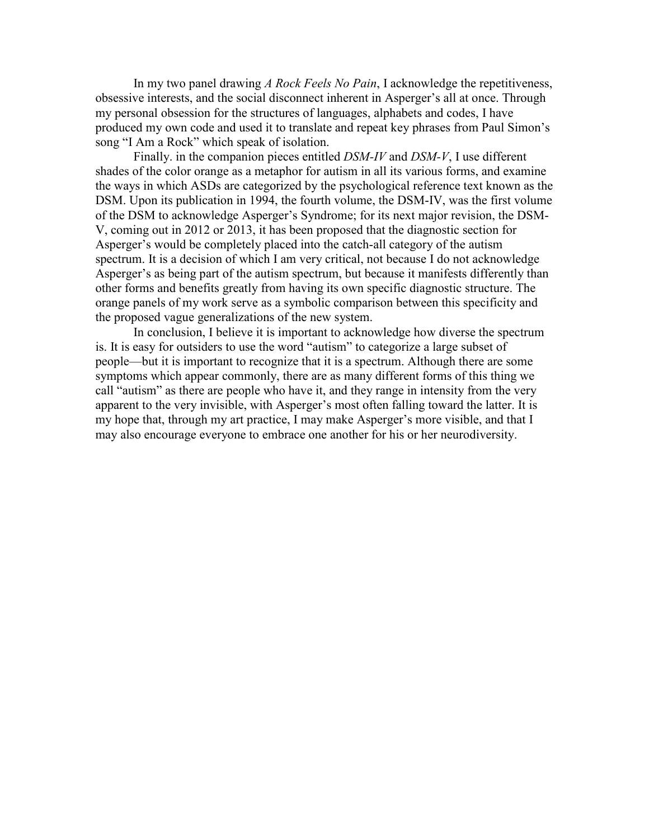In my two panel drawing *A Rock Feels No Pain*, I acknowledge the repetitiveness, obsessive interests, and the social disconnect inherent in Asperger's all at once. Through my personal obsession for the structures of languages, alphabets and codes, I have produced my own code and used it to translate and repeat key phrases from Paul Simon's song "I Am a Rock" which speak of isolation.

Finally. in the companion pieces entitled *DSM-IV* and *DSM-V*, I use different shades of the color orange as a metaphor for autism in all its various forms, and examine the ways in which ASDs are categorized by the psychological reference text known as the DSM. Upon its publication in 1994, the fourth volume, the DSM-IV, was the first volume of the DSM to acknowledge Asperger's Syndrome; for its next major revision, the DSM-V, coming out in 2012 or 2013, it has been proposed that the diagnostic section for Asperger's would be completely placed into the catch-all category of the autism spectrum. It is a decision of which I am very critical, not because I do not acknowledge Asperger's as being part of the autism spectrum, but because it manifests differently than other forms and benefits greatly from having its own specific diagnostic structure. The orange panels of my work serve as a symbolic comparison between this specificity and the proposed vague generalizations of the new system.

In conclusion, I believe it is important to acknowledge how diverse the spectrum is. It is easy for outsiders to use the word "autism" to categorize a large subset of people—but it is important to recognize that it is a spectrum. Although there are some symptoms which appear commonly, there are as many different forms of this thing we call "autism" as there are people who have it, and they range in intensity from the very apparent to the very invisible, with Asperger's most often falling toward the latter. It is my hope that, through my art practice, I may make Asperger's more visible, and that I may also encourage everyone to embrace one another for his or her neurodiversity.